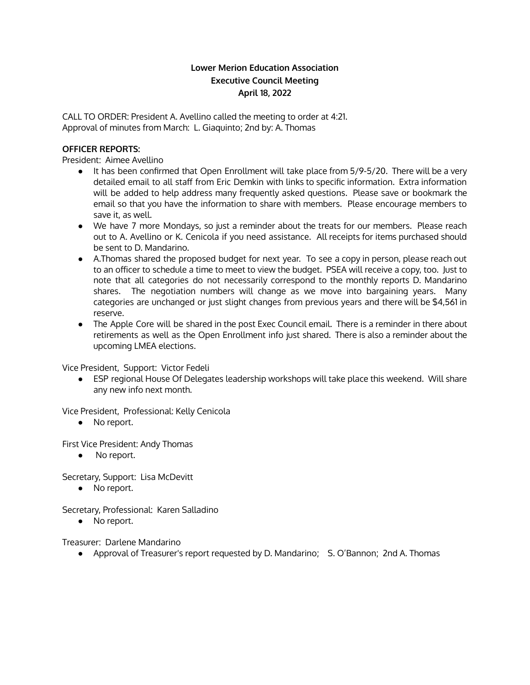# **Lower Merion Education Association Executive Council Meeting April 18, 2022**

CALL TO ORDER: President A. Avellino called the meeting to order at 4:21. Approval of minutes from March: L. Giaquinto; 2nd by: A. Thomas

## **OFFICER REPORTS:**

President: Aimee Avellino

- It has been confirmed that Open Enrollment will take place from 5/9-5/20. There will be a very detailed email to all staff from Eric Demkin with links to specific information. Extra information will be added to help address many frequently asked questions. Please save or bookmark the email so that you have the information to share with members. Please encourage members to save it, as well.
- We have 7 more Mondays, so just a reminder about the treats for our members. Please reach out to A. Avellino or K. Cenicola if you need assistance. All receipts for items purchased should be sent to D. Mandarino.
- A.Thomas shared the proposed budget for next year. To see a copy in person, please reach out to an officer to schedule a time to meet to view the budget. PSEA will receive a copy, too. Just to note that all categories do not necessarily correspond to the monthly reports D. Mandarino shares. The negotiation numbers will change as we move into bargaining years. Many categories are unchanged or just slight changes from previous years and there will be \$4,561 in reserve.
- The Apple Core will be shared in the post Exec Council email. There is a reminder in there about retirements as well as the Open Enrollment info just shared. There is also a reminder about the upcoming LMEA elections.

Vice President, Support: Victor Fedeli

● ESP regional House Of Delegates leadership workshops will take place this weekend. Will share any new info next month.

Vice President, Professional: Kelly Cenicola

● No report.

First Vice President: Andy Thomas

● No report.

Secretary, Support: Lisa McDevitt

● No report.

Secretary, Professional: Karen Salladino

• No report.

Treasurer: Darlene Mandarino

● Approval of Treasurer's report requested by D. Mandarino; S. O'Bannon; 2nd A. Thomas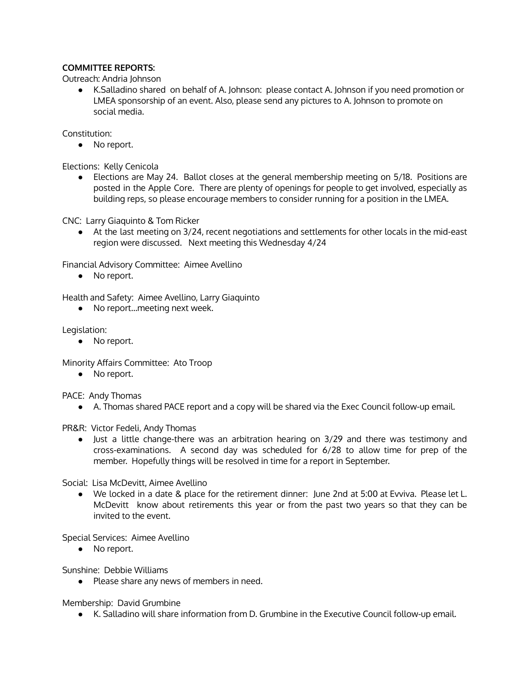## **COMMITTEE REPORTS:**

Outreach: Andria Johnson

● K.Salladino shared on behalf of A. Johnson: please contact A. Johnson if you need promotion or LMEA sponsorship of an event. Also, please send any pictures to A. Johnson to promote on social media.

Constitution:

● No report.

Elections: Kelly Cenicola

● Elections are May 24. Ballot closes at the general membership meeting on 5/18. Positions are posted in the Apple Core. There are plenty of openings for people to get involved, especially as building reps, so please encourage members to consider running for a position in the LMEA.

CNC: Larry Giaquinto & Tom Ricker

● At the last meeting on 3/24, recent negotiations and settlements for other locals in the mid-east region were discussed. Next meeting this Wednesday 4/24

Financial Advisory Committee: Aimee Avellino

● No report.

Health and Safety: Aimee Avellino, Larry Giaquinto

● No report…meeting next week.

Legislation:

● No report.

Minority Affairs Committee: Ato Troop

● No report.

PACE: Andy Thomas

● A. Thomas shared PACE report and a copy will be shared via the Exec Council follow-up email.

PR&R: Victor Fedeli, Andy Thomas

● Just a little change-there was an arbitration hearing on 3/29 and there was testimony and cross-examinations. A second day was scheduled for 6/28 to allow time for prep of the member. Hopefully things will be resolved in time for a report in September.

Social: Lisa McDevitt, Aimee Avellino

● We locked in a date & place for the retirement dinner: June 2nd at 5:00 at Evviva. Please let L. McDevitt know about retirements this year or from the past two years so that they can be invited to the event.

Special Services: Aimee Avellino

● No report.

Sunshine: Debbie Williams

● Please share any news of members in need.

Membership: David Grumbine

● K. Salladino will share information from D. Grumbine in the Executive Council follow-up email.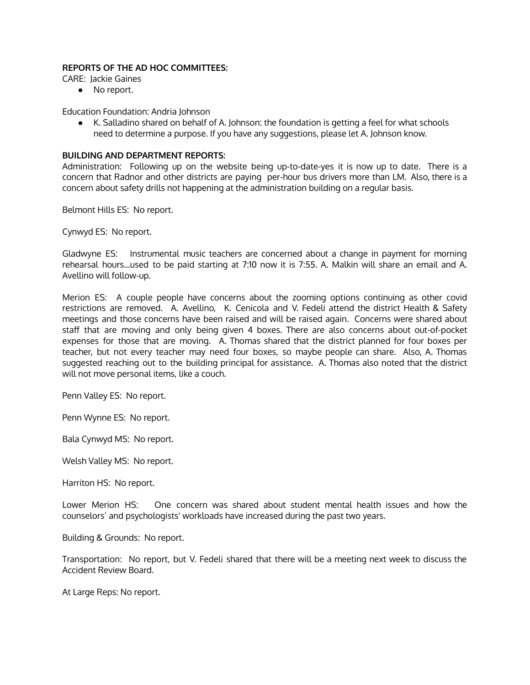## **REPORTS OF THE AD HOC COMMITTEES:**

CARE: Jackie Gaines

● No report.

Education Foundation: Andria Johnson

● K. Salladino shared on behalf of A. Johnson: the foundation is getting a feel for what schools need to determine a purpose. If you have any suggestions, please let A. Johnson know.

#### **BUILDING AND DEPARTMENT REPORTS:**

Administration: Following up on the website being up-to-date-yes it is now up to date. There is a concern that Radnor and other districts are paying per-hour bus drivers more than LM. Also, there is a concern about safety drills not happening at the administration building on a regular basis.

Belmont Hills ES: No report.

Cynwyd ES: No report.

Gladwyne ES: Instrumental music teachers are concerned about a change in payment for morning rehearsal hours…used to be paid starting at 7:10 now it is 7:55. A. Malkin will share an email and A. Avellino will follow-up.

Merion ES: A couple people have concerns about the zooming options continuing as other covid restrictions are removed. A. Avellino, K. Cenicola and V. Fedeli attend the district Health & Safety meetings and those concerns have been raised and will be raised again. Concerns were shared about staff that are moving and only being given 4 boxes. There are also concerns about out-of-pocket expenses for those that are moving. A. Thomas shared that the district planned for four boxes per teacher, but not every teacher may need four boxes, so maybe people can share. Also, A. Thomas suggested reaching out to the building principal for assistance. A. Thomas also noted that the district will not move personal items, like a couch.

Penn Valley ES: No report.

Penn Wynne ES: No report.

Bala Cynwyd MS: No report.

Welsh Valley MS: No report.

Harriton HS: No report.

Lower Merion HS: One concern was shared about student mental health issues and how the counselors' and psychologists' workloads have increased during the past two years.

Building & Grounds: No report.

Transportation: No report, but V. Fedeli shared that there will be a meeting next week to discuss the Accident Review Board.

At Large Reps: No report.